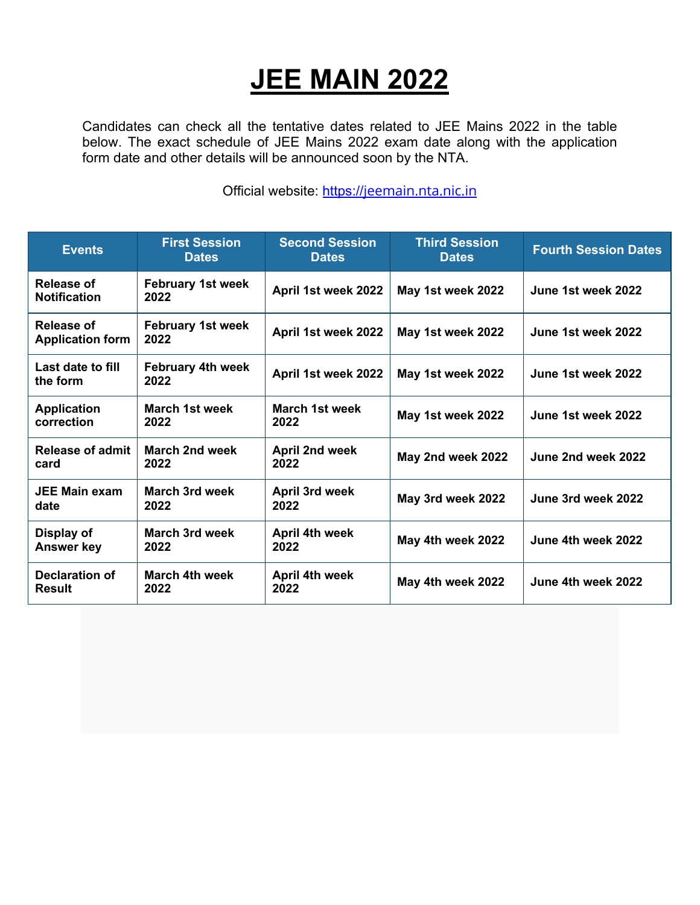## **JEE MAIN 2022**

Candidates can check all the tentative dates related to JEE Mains 2022 in the table below. The exact schedule of JEE Mains 2022 exam date along with the application form date and other details will be announced soon by the NTA.

Official website: https://jeemain.nta.nic.in

| <b>Events</b>                         | <b>First Session</b><br><b>Dates</b> | <b>Second Session</b><br><b>Dates</b> | <b>Third Session</b><br><b>Dates</b> | <b>Fourth Session Dates</b> |
|---------------------------------------|--------------------------------------|---------------------------------------|--------------------------------------|-----------------------------|
| Release of<br><b>Notification</b>     | <b>February 1st week</b><br>2022     | April 1st week 2022                   | May 1st week 2022                    | June 1st week 2022          |
| Release of<br><b>Application form</b> | <b>February 1st week</b><br>2022     | April 1st week 2022                   | May 1st week 2022                    | June 1st week 2022          |
| Last date to fill<br>the form         | <b>February 4th week</b><br>2022     | April 1st week 2022                   | May 1st week 2022                    | June 1st week 2022          |
| <b>Application</b><br>correction      | March 1st week<br>2022               | March 1st week<br>2022                | May 1st week 2022                    | June 1st week 2022          |
| <b>Release of admit</b><br>card       | <b>March 2nd week</b><br>2022        | <b>April 2nd week</b><br>2022         | May 2nd week 2022                    | June 2nd week 2022          |
| <b>JEE Main exam</b><br>date          | <b>March 3rd week</b><br>2022        | April 3rd week<br>2022                | May 3rd week 2022                    | June 3rd week 2022          |
| Display of<br><b>Answer key</b>       | <b>March 3rd week</b><br>2022        | April 4th week<br>2022                | May 4th week 2022                    | June 4th week 2022          |
| <b>Declaration of</b><br>Result       | March 4th week<br>2022               | April 4th week<br>2022                | May 4th week 2022                    | June 4th week 2022          |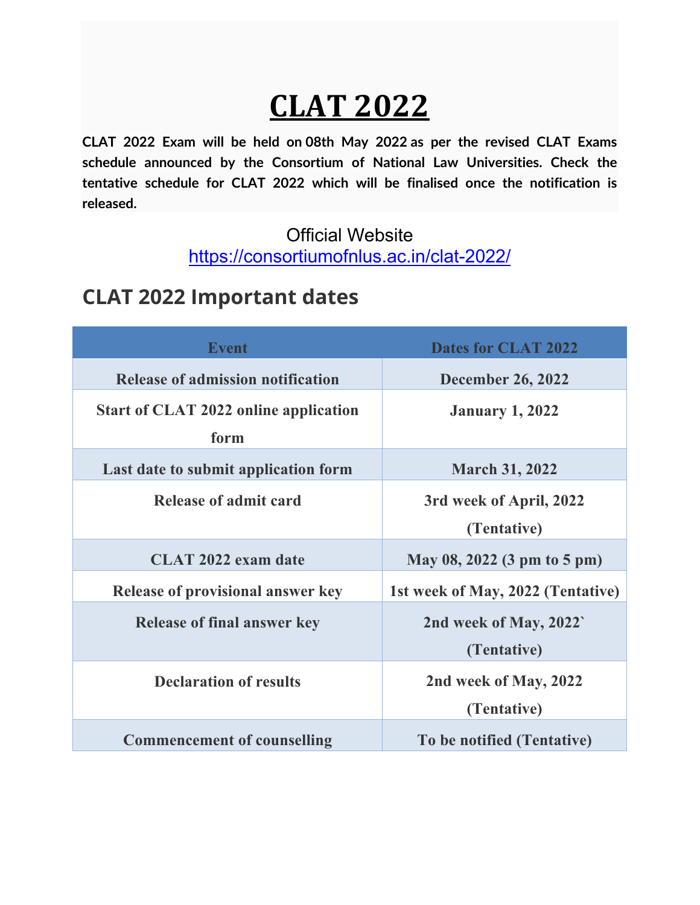# **CLAT 2022**

**CLAT 2022 Exam will be held on 08th May 2022 as per the revised CLAT Exams schedule announced by the Consortium of National Law Universities. Check the tentative schedule for CLAT 2022 which will be finalised once the notification is released.**

#### Official Website https://consortiumofnlus.ac.in/clat-2022/

### **CLAT 2022 Important dates**

| <b>Event</b>                                         | <b>Dates for CLAT 2022</b>             |
|------------------------------------------------------|----------------------------------------|
| <b>Release of admission notification</b>             | <b>December 26, 2022</b>               |
| <b>Start of CLAT 2022 online application</b><br>form | <b>January 1, 2022</b>                 |
| Last date to submit application form                 | <b>March 31, 2022</b>                  |
| Release of admit card                                | 3rd week of April, 2022<br>(Tentative) |
| <b>CLAT 2022 exam date</b>                           | May 08, 2022 (3 pm to 5 pm)            |
| <b>Release of provisional answer key</b>             | 1st week of May, 2022 (Tentative)      |
| <b>Release of final answer key</b>                   | 2nd week of May, 2022`<br>(Tentative)  |
| <b>Declaration of results</b>                        | 2nd week of May, 2022<br>(Tentative)   |
| <b>Commencement of counselling</b>                   | To be notified (Tentative)             |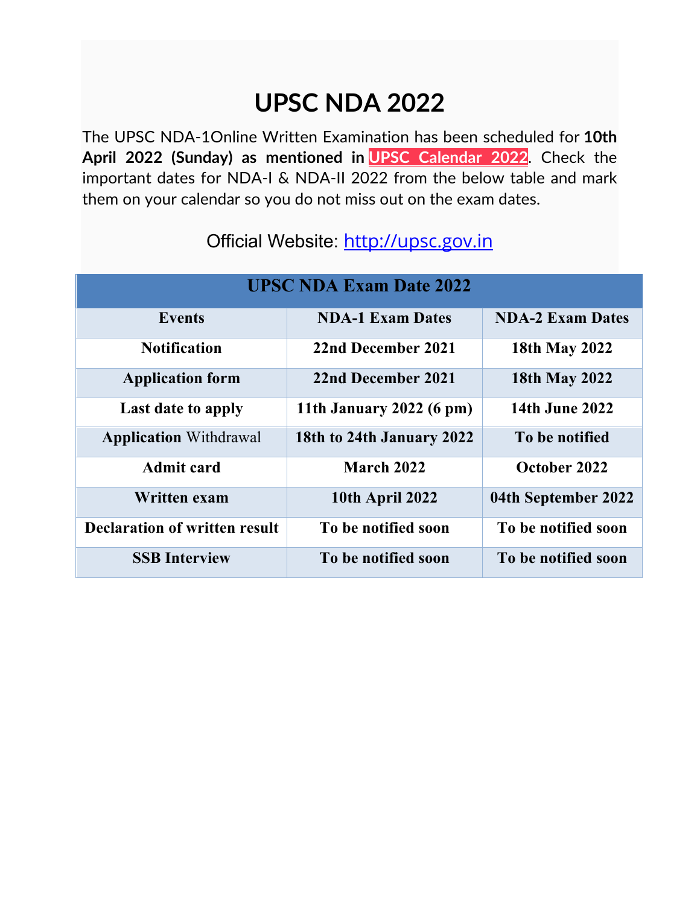### **UPSC NDA 2022**

The UPSC NDA-1Online Written Examination has been scheduled for **10th April 2022 (Sunday) as mentioned in UPSC Calendar 2022**. Check the important dates for NDA-I & NDA-II 2022 from the below table and mark them on your calendar so you do not miss out on the exam dates.

| <b>UPSC NDA Exam Date 2022</b>       |                           |                         |  |  |  |
|--------------------------------------|---------------------------|-------------------------|--|--|--|
| <b>Events</b>                        | <b>NDA-1 Exam Dates</b>   | <b>NDA-2 Exam Dates</b> |  |  |  |
| <b>Notification</b>                  | 22nd December 2021        | 18th May 2022           |  |  |  |
| <b>Application form</b>              | 22nd December 2021        | <b>18th May 2022</b>    |  |  |  |
| Last date to apply                   | 11th January 2022 (6 pm)  | <b>14th June 2022</b>   |  |  |  |
| <b>Application Withdrawal</b>        | 18th to 24th January 2022 | To be notified          |  |  |  |
| <b>Admit card</b>                    | March 2022                | October 2022            |  |  |  |
| Written exam                         | <b>10th April 2022</b>    | 04th September 2022     |  |  |  |
| <b>Declaration of written result</b> | To be notified soon       | To be notified soon     |  |  |  |
| <b>SSB</b> Interview                 | To be notified soon       | To be notified soon     |  |  |  |

### Official Website: http://upsc.gov.in